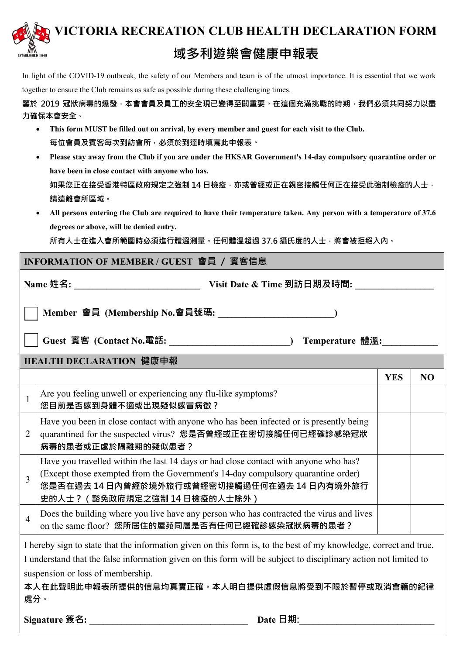

In light of the COVID-19 outbreak, the safety of our Members and team is of the utmost importance. It is essential that we work together to ensure the Club remains as safe as possible during these challenging times.

**鑒於 2019 冠狀病毒的爆發,本會會員及員工的安全現已變得至關重要。在這個充滿挑戰的時期,我們必須共同努力以盡 力確保本會安全。**

- **This form MUST be filled out on arrival, by every member and guest for each visit to the Club. 每位會員及賓客每次到訪會所,必須於到達時填寫此申報表。**
- **Please stay away from the Club if you are under the HKSAR Government's 14-day compulsory quarantine order or have been in close contact with anyone who has.** 如果您正在接受香港特區政府規定之強制 14 日檢疫,亦或曾經或正在親密接觸任何正在接受此強制檢疫的人士, **請遠離會所區域。**
- **All persons entering the Club are required to have their temperature taken. Any person with a temperature of 37.6 degrees or above, will be denied entry.**

**所有人士在進入會所範圍時必須進行體溫測量。任何體溫超過 37.6 攝氏度的人士,將會被拒絕入內。**

#### **INFORMATION OF MEMBER / GUEST 會員 / 賓客信息**

**Name 姓名: \_\_\_\_\_\_\_\_\_\_\_\_\_\_\_\_\_\_\_\_\_\_\_\_\_\_\_ Visit Date & Time 到訪日期及時間: \_\_\_\_\_\_\_\_\_\_\_\_\_\_\_\_\_**

 $\frac{1}{2}$   $\frac{1}{2}$ 

 **Member 會員 (Membership No.會員號碼: \_\_\_\_\_\_\_\_\_\_\_\_\_\_\_\_\_\_\_\_\_\_\_\_\_)** 

 **Guest 賓客 (Contact No.電話: \_\_\_\_\_\_\_\_\_\_\_\_\_\_\_\_\_\_\_\_\_\_\_\_\_\_) Temperature 體溫:\_\_\_\_\_\_\_\_\_\_\_\_** 

#### **HEALTH DECLARATION 健康申報**

|   |                                                                                                                                                                                                                                                         | Y B.S | NU |
|---|---------------------------------------------------------------------------------------------------------------------------------------------------------------------------------------------------------------------------------------------------------|-------|----|
|   | Are you feeling unwell or experiencing any flu-like symptoms?<br>您目前是否感到身體不適或出現疑似感冒病徵?                                                                                                                                                                  |       |    |
| 2 | Have you been in close contact with anyone who has been infected or is presently being<br>quarantined for the suspected virus? 您是否曾經或正在密切接觸任何已經確診感染冠狀<br>病毒的患者或正處於隔離期的疑似患者?                                                                             |       |    |
|   | Have you travelled within the last 14 days or had close contact with anyone who has?<br>(Except those exempted from the Government's 14-day compulsory quarantine order)<br>您是否在過去 14 日内曾經於境外旅行或曾經密切接觸過任何在過去 14 日内有境外旅行<br>史的人士?(豁免政府規定之強制 14 日檢疫的人士除外) |       |    |
|   | Does the building where you live have any person who has contracted the virus and lives<br>on the same floor? 您所居住的屋苑同層是否有任何已經確診感染冠狀病毒的患者?                                                                                                              |       |    |

I hereby sign to state that the information given on this form is, to the best of my knowledge, correct and true. I understand that the false information given on this form will be subject to disciplinary action not limited to suspension or loss of membership.

**本人在此聲明此申報表所提供的信息均真實正確。本人明白提供虛假信息將受到不限於暫停或取消會籍的紀律 處分。**

**Signature 簽名:** \_\_\_\_\_\_\_\_\_\_\_\_\_\_\_\_\_\_\_\_\_\_\_\_\_\_\_\_\_\_\_\_\_\_ **Date 日期:**\_\_\_\_\_\_\_\_\_\_\_\_\_\_\_\_\_\_\_\_\_\_\_\_\_\_\_\_\_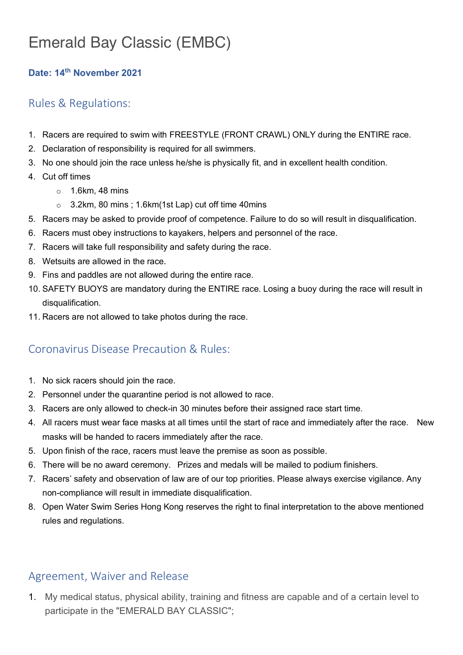# Emerald Bay Classic (EMBC)

#### **Date: 14th November 2021**

## Rules & Regulations:

- 1. Racers are required to swim with FREESTYLE (FRONT CRAWL) ONLY during the ENTIRE race.
- 2. Declaration of responsibility is required for all swimmers.
- 3. No one should join the race unless he/she is physically fit, and in excellent health condition.
- 4. Cut off times
	- $\circ$  1.6km, 48 mins
	- o 3.2km, 80 mins ; 1.6km(1st Lap) cut off time 40mins
- 5. Racers may be asked to provide proof of competence. Failure to do so will result in disqualification.
- 6. Racers must obey instructions to kayakers, helpers and personnel of the race.
- 7. Racers will take full responsibility and safety during the race.
- 8. Wetsuits are allowed in the race.
- 9. Fins and paddles are not allowed during the entire race.
- 10. SAFETY BUOYS are mandatory during the ENTIRE race. Losing a buoy during the race will result in disqualification.
- 11. Racers are not allowed to take photos during the race.

## Coronavirus Disease Precaution & Rules:

- 1. No sick racers should join the race.
- 2. Personnel under the quarantine period is not allowed to race.
- 3. Racers are only allowed to check-in 30 minutes before their assigned race start time.
- 4. All racers must wear face masks at all times until the start of race and immediately after the race. New masks will be handed to racers immediately after the race.
- 5. Upon finish of the race, racers must leave the premise as soon as possible.
- 6. There will be no award ceremony. Prizes and medals will be mailed to podium finishers.
- 7. Racers' safety and observation of law are of our top priorities. Please always exercise vigilance. Any non-compliance will result in immediate disqualification.
- 8. Open Water Swim Series Hong Kong reserves the right to final interpretation to the above mentioned rules and regulations.

### Agreement, Waiver and Release

1. My medical status, physical ability, training and fitness are capable and of a certain level to participate in the "EMERALD BAY CLASSIC";